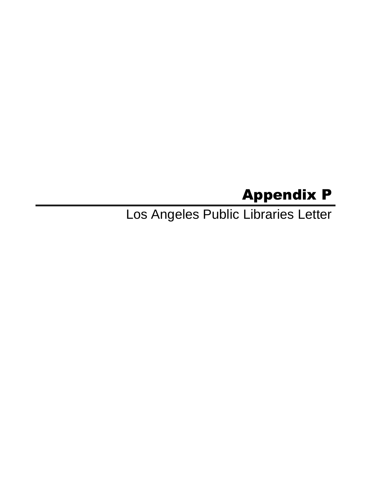## Appendix P

Los Angeles Public Libraries Letter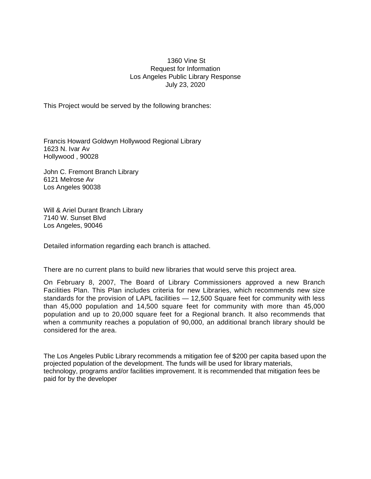## 1360 Vine St Request for Information Los Angeles Public Library Response July 23, 2020

This Project would be served by the following branches:

Francis Howard Goldwyn Hollywood Regional Library 1623 N. Ivar Av Hollywood , 90028

John C. Fremont Branch Library 6121 Melrose Av Los Angeles 90038

Will & Ariel Durant Branch Library 7140 W. Sunset Blvd Los Angeles, 90046

Detailed information regarding each branch is attached.

There are no current plans to build new libraries that would serve this project area.

On February 8, 2007, The Board of Library Commissioners approved a new Branch Facilities Plan. This Plan includes criteria for new Libraries, which recommends new size standards for the provision of LAPL facilities — 12,500 Square feet for community with less than 45,000 population and 14,500 square feet for community with more than 45,000 population and up to 20,000 square feet for a Regional branch. It also recommends that when a community reaches a population of 90,000, an additional branch library should be considered for the area.

The Los Angeles Public Library recommends a mitigation fee of \$200 per capita based upon the projected population of the development. The funds will be used for library materials, technology, programs and/or facilities improvement. It is recommended that mitigation fees be paid for by the developer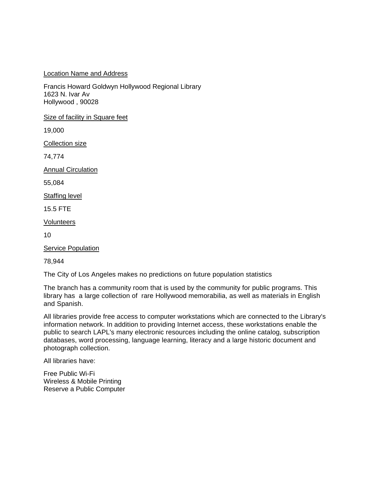## Location Name and Address

Francis Howard Goldwyn Hollywood Regional Library 1623 N. Ivar Av Hollywood , 90028

Size of facility in Square feet

19,000

Collection size

74,774

Annual Circulation

55,084

Staffing level

15.5 FTE

Volunteers

10

Service Population

78,944

The City of Los Angeles makes no predictions on future population statistics

The branch has a community room that is used by the community for public programs. This library has a large collection of rare Hollywood memorabilia, as well as materials in English and Spanish.

All libraries provide free access to computer workstations which are connected to the Library's information network. In addition to providing Internet access, these workstations enable the public to search LAPL's many electronic resources including the online catalog, subscription databases, word processing, language learning, literacy and a large historic document and photograph collection.

All libraries have:

Free Public Wi-Fi Wireless & Mobile Printing Reserve a Public Computer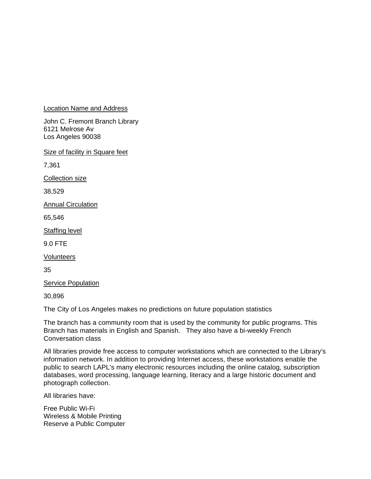Location Name and Address

John C. Fremont Branch Library 6121 Melrose Av Los Angeles 90038

Size of facility in Square feet

7,361

Collection size

38,529

**Annual Circulation** 

65,546

Staffing level

9.0 FTE

Volunteers

35

Service Population

30,896

The City of Los Angeles makes no predictions on future population statistics

The branch has a community room that is used by the community for public programs. This Branch has materials in English and Spanish. They also have a bi-weekly French Conversation class

All libraries provide free access to computer workstations which are connected to the Library's information network. In addition to providing Internet access, these workstations enable the public to search LAPL's many electronic resources including the online catalog, subscription databases, word processing, language learning, literacy and a large historic document and photograph collection.

All libraries have:

Free Public Wi-Fi Wireless & Mobile Printing Reserve a Public Computer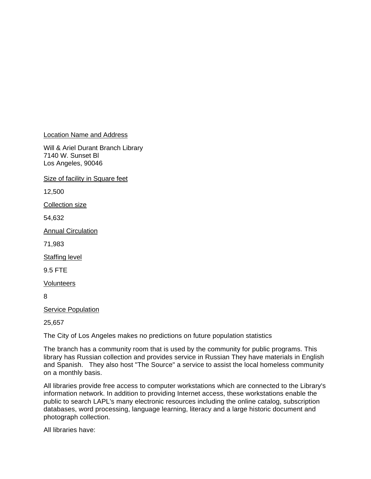Location Name and Address

Will & Ariel Durant Branch Library 7140 W. Sunset Bl Los Angeles, 90046

Size of facility in Square feet

12,500

Collection size

54,632

Annual Circulation

71,983

Staffing level

9.5 FTE

Volunteers

8

Service Population

25,657

The City of Los Angeles makes no predictions on future population statistics

The branch has a community room that is used by the community for public programs. This library has Russian collection and provides service in Russian They have materials in English and Spanish. They also host "The Source" a service to assist the local homeless community on a monthly basis.

All libraries provide free access to computer workstations which are connected to the Library's information network. In addition to providing Internet access, these workstations enable the public to search LAPL's many electronic resources including the online catalog, subscription databases, word processing, language learning, literacy and a large historic document and photograph collection.

All libraries have: